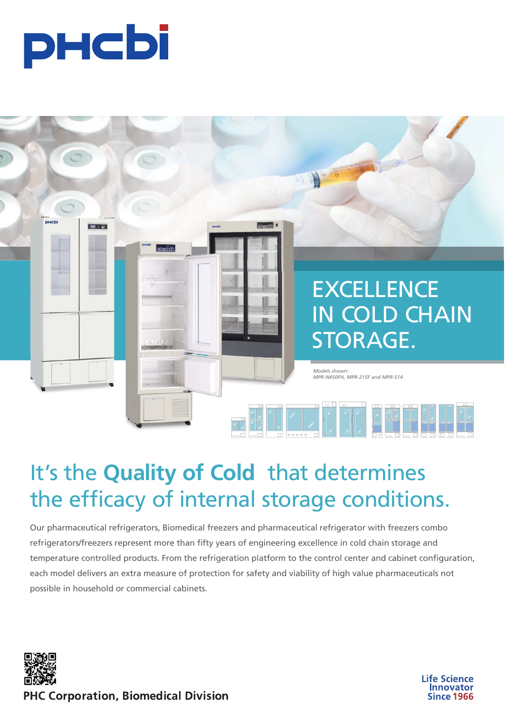



# It's the **Quality of Cold** that determines the efficacy of internal storage conditions.

Our pharmaceutical refrigerators, Biomedical freezers and pharmaceutical refrigerator with freezers combo refrigerators/freezers represent more than fifty years of engineering excellence in cold chain storage and temperature controlled products. From the refrigeration platform to the control center and cabinet configuration, each model delivers an extra measure of protection for safety and viability of high value pharmaceuticals not possible in household or commercial cabinets.



**Life Science Innovator Since 1966** 

**PHC Corporation, Biomedical Division**